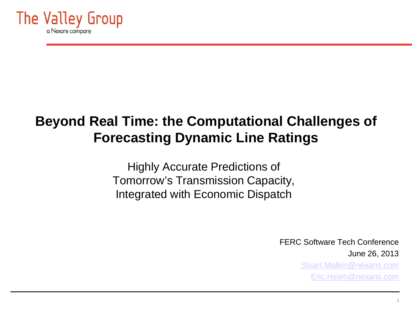

# **Beyond Real Time: the Computational Challenges of Forecasting Dynamic Line Ratings**

Highly Accurate Predictions of Tomorrow's Transmission Capacity, Integrated with Economic Dispatch

> FERC Software Tech Conference June 26, 2013

[Stuart.Malkin@nexans.com](mailto:Stuart.Malkin@nexans.com) [Eric.Hsieh@nexans.com](mailto:Eric.Hsieh@nexans.com)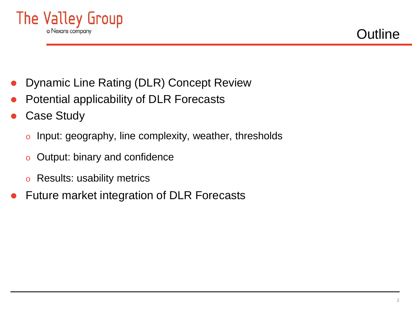

- Dynamic Line Rating (DLR) Concept Review
- Potential applicability of DLR Forecasts
- Case Study
	- o Input: geography, line complexity, weather, thresholds
	- o Output: binary and confidence
	- o Results: usability metrics
- Future market integration of DLR Forecasts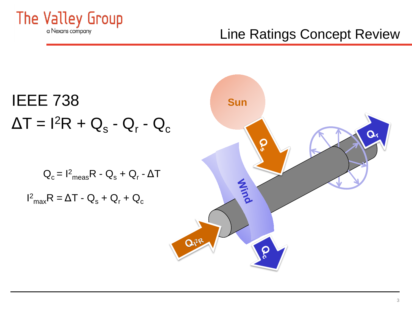

# Line Ratings Concept Review

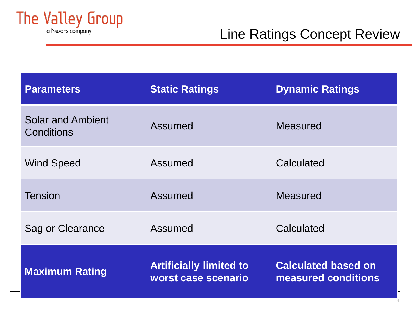

| <b>Parameters</b>                             | <b>Static Ratings</b>                                 | <b>Dynamic Ratings</b>                            |
|-----------------------------------------------|-------------------------------------------------------|---------------------------------------------------|
| <b>Solar and Ambient</b><br><b>Conditions</b> | <b>Assumed</b>                                        | <b>Measured</b>                                   |
| <b>Wind Speed</b>                             | Assumed                                               | Calculated                                        |
| <b>Tension</b>                                | <b>Assumed</b>                                        | <b>Measured</b>                                   |
| Sag or Clearance                              | Assumed                                               | Calculated                                        |
| <b>Maximum Rating</b>                         | <b>Artificially limited to</b><br>worst case scenario | <b>Calculated based on</b><br>measured conditions |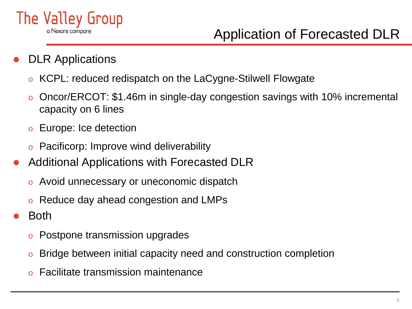

# Application of Forecasted DLR

- DLR Applications
	- o KCPL: reduced redispatch on the LaCygne-Stilwell Flowgate
	- Oncor/ERCOT: \$1.46m in single-day congestion savings with 10% incremental capacity on 6 lines
	- o Europe: Ice detection
	- o Pacificorp: Improve wind deliverability
- Additional Applications with Forecasted DLR
	- o Avoid unnecessary or uneconomic dispatch
	- o Reduce day ahead congestion and LMPs
- Both
	- o Postpone transmission upgrades
	- o Bridge between initial capacity need and construction completion
	- o Facilitate transmission maintenance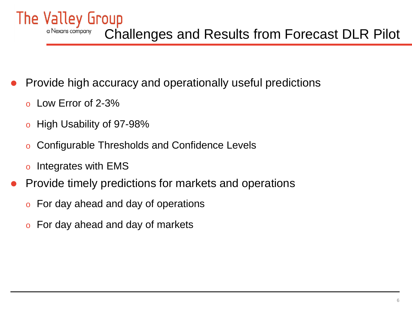The Valley Group a Nexans company Challenges and Results from Forecast DLR Pilot

- Provide high accuracy and operationally useful predictions
	- o Low Error of 2-3%
	- o High Usability of 97-98%
	- Configurable Thresholds and Confidence Levels
	- o Integrates with EMS
- Provide timely predictions for markets and operations
	- o For day ahead and day of operations
	- o For day ahead and day of markets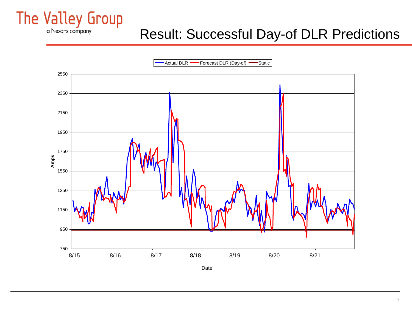

# Result: Successful Day-of DLR Predictions

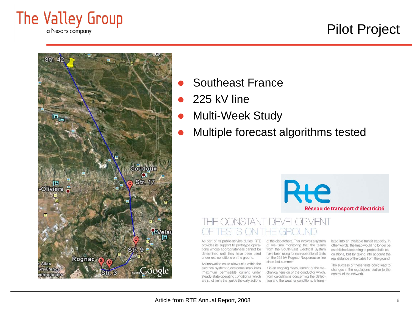

# Pilot Project



- Southeast France
- 225 kV line
- Multi-Week Study
- Multiple forecast algorithms tested

# Réseau de transport d'électricité

As part of its public-service duties, RTE provides its support to prototype operations whose appropriateness cannot be determined until they have been used under real conditions on the ground.

An innovation could allow units within the electrical system to overcome Imap limits (maximum permissible current under steady-state operating conditions), which are strict limits that guide the daily actions of the dispatchers. This involves a system of real-time monitoring that the teams from the South-East Electrical System have been using for non-operational tests on the 225 kV Rognac-Roquerousse line since last summer.

It is an ongoing measurement of the mechanical tension of the conductor which, from calculations concerning the deflection and the weather conditions, is translated into an available transit capacity. In other words, the Imap would no longer be established according to probabilistic calculations, but by taking into account the real distance of the cable from the ground.

The success of these tests could lead to changes in the regulations relative to the control of the network.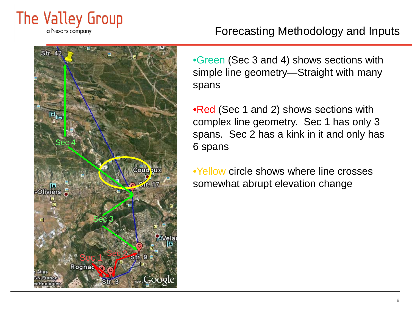

#### Forecasting Methodology and Inputs



•Green (Sec 3 and 4) shows sections with simple line geometry—Straight with many spans

•Red (Sec 1 and 2) shows sections with complex line geometry. Sec 1 has only 3 spans. Sec 2 has a kink in it and only has 6 spans

•Yellow circle shows where line crosses somewhat abrupt elevation change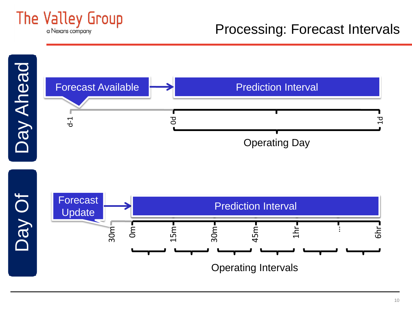

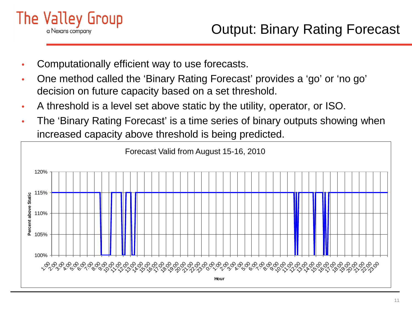

- Computationally efficient way to use forecasts.
- One method called the 'Binary Rating Forecast' provides a 'go' or 'no go' decision on future capacity based on a set threshold.
- A threshold is a level set above static by the utility, operator, or ISO.
- The 'Binary Rating Forecast' is a time series of binary outputs showing when increased capacity above threshold is being predicted.

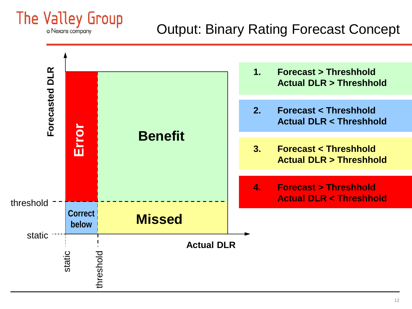

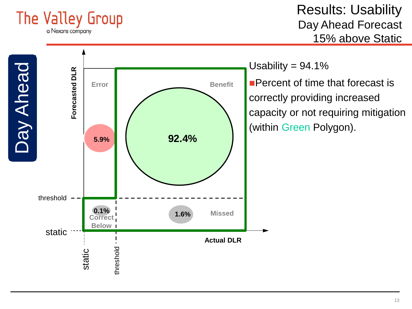

Results: Usability Day Ahead Forecast 15% above Static

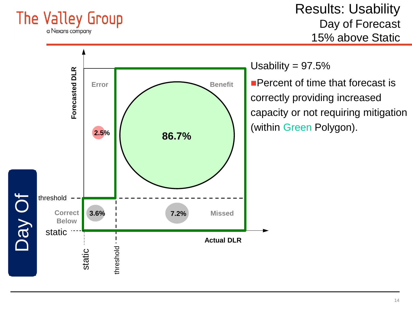

Results: Usability Day of Forecast 15% above Static

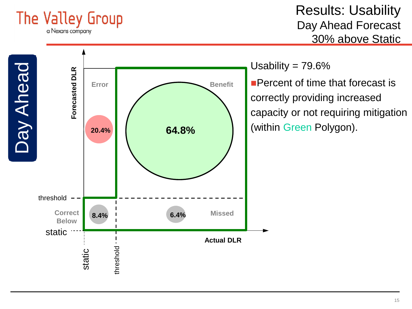

Results: Usability Day Ahead Forecast 30% above Static

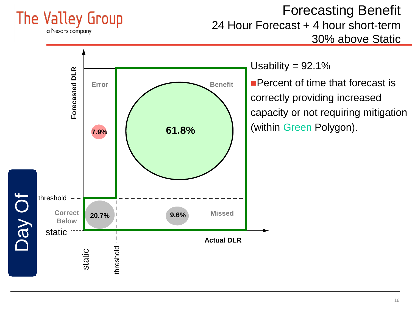

### Forecasting Benefit 24 Hour Forecast + 4 hour short-term 30% above Static

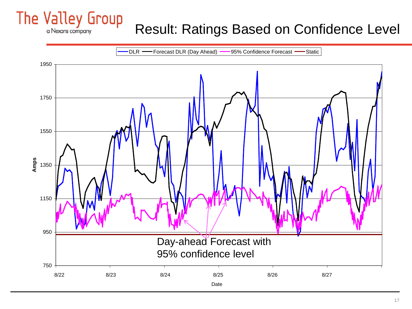### The Valley Group Result: Ratings Based on Confidence Level



a Nexans company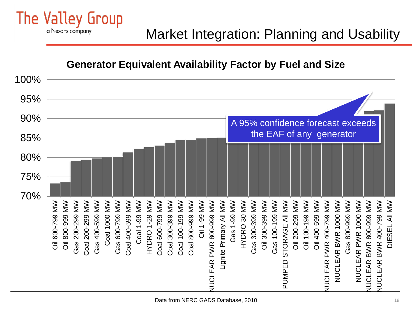Market Integration: Planning and Usability

#### **Generator Equivalent Availability Factor by Fuel and Size**

The Valley Group

a Nexans company

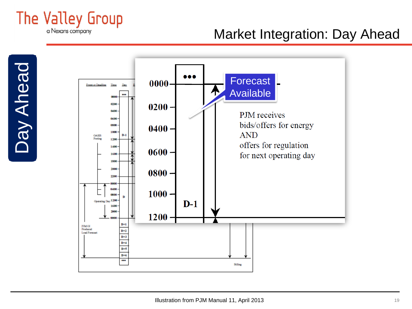

# Market Integration: Day Ahead



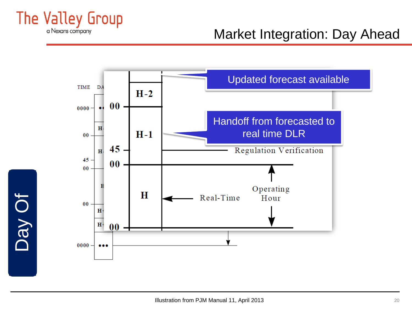

Day Of

# Market Integration: Day Ahead



Illustration from PJM Manual 11, April 2013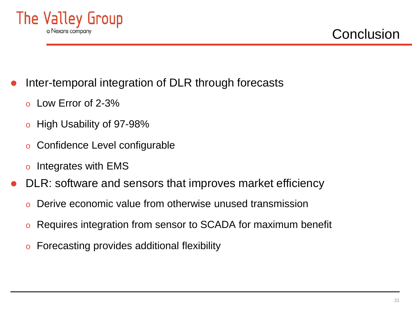

- Inter-temporal integration of DLR through forecasts
	- o Low Error of 2-3%
	- o High Usability of 97-98%
	- Confidence Level configurable
	- o Integrates with EMS
- DLR: software and sensors that improves market efficiency
	- Derive economic value from otherwise unused transmission
	- o Requires integration from sensor to SCADA for maximum benefit
	- o Forecasting provides additional flexibility